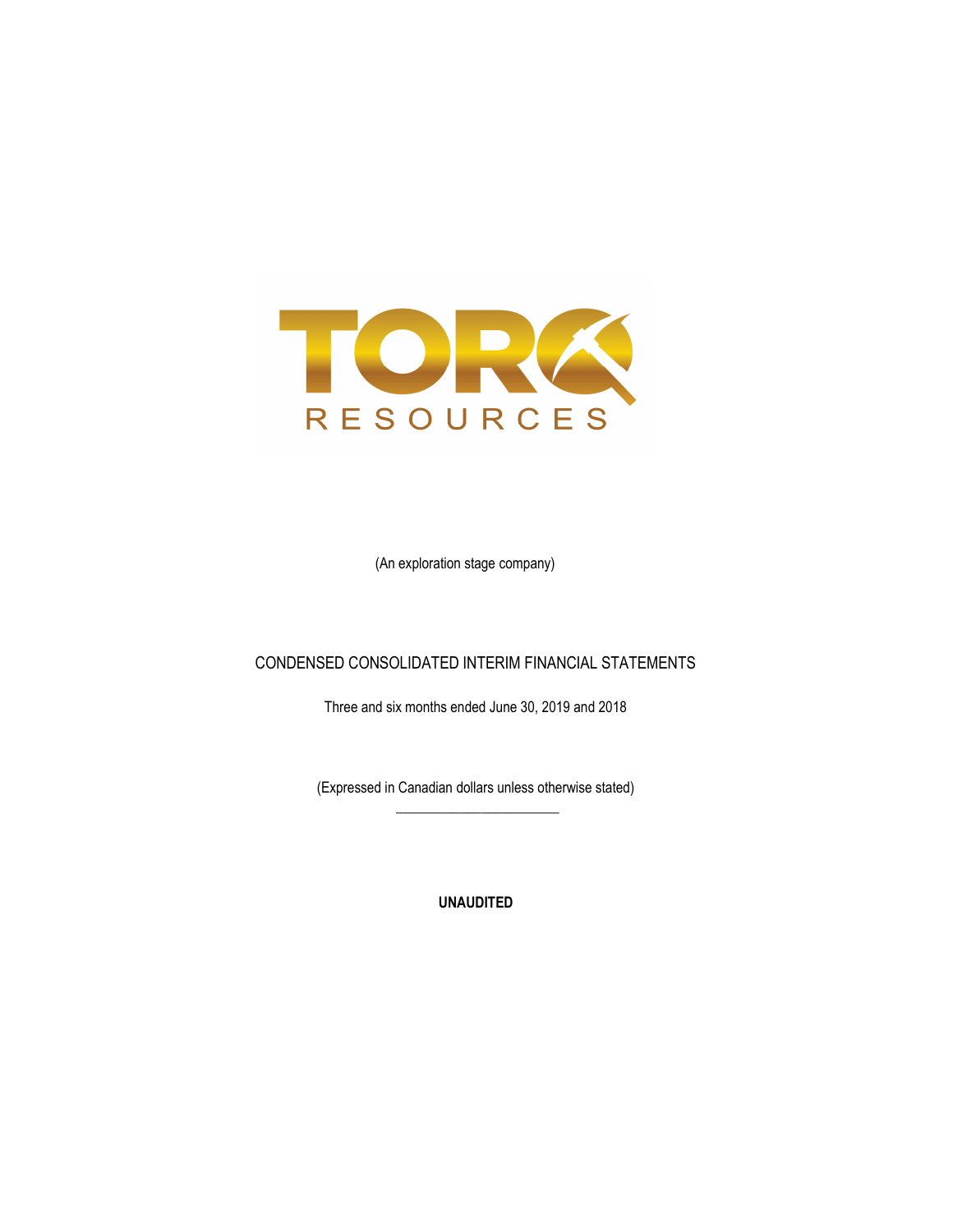

(An exploration stage company)

### CONDENSED CONSOLIDATED INTERIM FINANCIAL STATEMENTS

Three and six months ended June 30, 2019 and 2018

(Expressed in Canadian dollars unless otherwise stated)  $\frac{1}{\sqrt{2\pi}}\left[\frac{1}{\sqrt{2\pi}}\frac{1}{\sqrt{2\pi}}\frac{1}{\sqrt{2\pi}}\frac{1}{\sqrt{2\pi}}\frac{1}{\sqrt{2\pi}}\frac{1}{\sqrt{2\pi}}\frac{1}{\sqrt{2\pi}}\frac{1}{\sqrt{2\pi}}\frac{1}{\sqrt{2\pi}}\frac{1}{\sqrt{2\pi}}\frac{1}{\sqrt{2\pi}}\frac{1}{\sqrt{2\pi}}\frac{1}{\sqrt{2\pi}}\frac{1}{\sqrt{2\pi}}\frac{1}{\sqrt{2\pi}}\frac{1}{\sqrt{2\pi}}\frac{1}{\sqrt{2\pi}}\frac$ 

UNAUDITED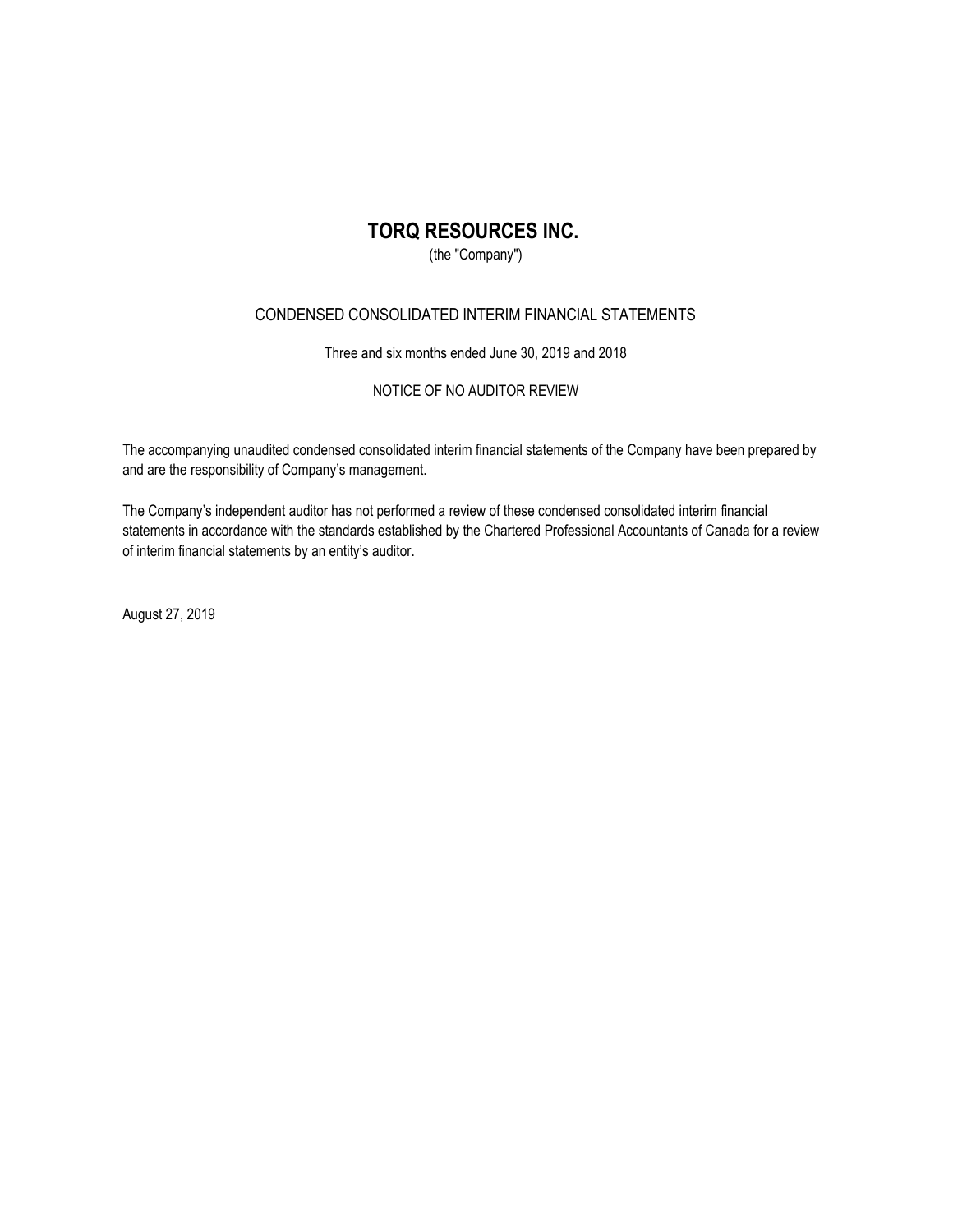(the "Company")

### CONDENSED CONSOLIDATED INTERIM FINANCIAL STATEMENTS

Three and six months ended June 30, 2019 and 2018

NOTICE OF NO AUDITOR REVIEW

The accompanying unaudited condensed consolidated interim financial statements of the Company have been prepared by and are the responsibility of Company's management.

The Company's independent auditor has not performed a review of these condensed consolidated interim financial statements in accordance with the standards established by the Chartered Professional Accountants of Canada for a review of interim financial statements by an entity's auditor.

August 27, 2019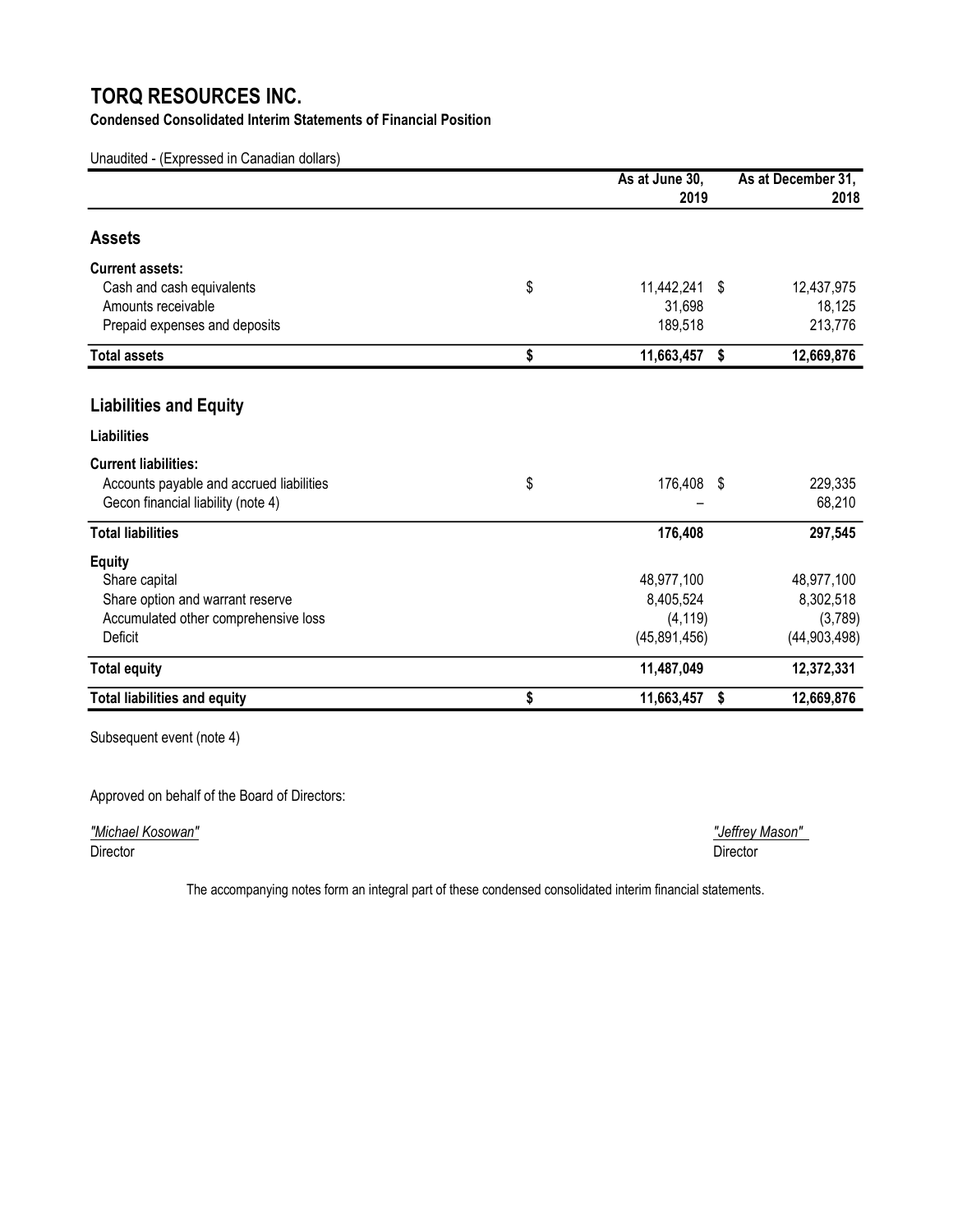Condensed Consolidated Interim Statements of Financial Position

Unaudited - (Expressed in Canadian dollars)

|                                          | As at June 30,         | As at December 31, |
|------------------------------------------|------------------------|--------------------|
|                                          | 2019                   | 2018               |
| <b>Assets</b>                            |                        |                    |
| <b>Current assets:</b>                   |                        |                    |
| Cash and cash equivalents                | \$<br>11,442,241<br>\$ | 12,437,975         |
| Amounts receivable                       | 31,698                 | 18,125             |
| Prepaid expenses and deposits            | 189,518                | 213,776            |
| <b>Total assets</b>                      | \$<br>11,663,457<br>\$ | 12,669,876         |
| <b>Liabilities and Equity</b>            |                        |                    |
| <b>Liabilities</b>                       |                        |                    |
| <b>Current liabilities:</b>              |                        |                    |
| Accounts payable and accrued liabilities | \$<br>176,408<br>- \$  | 229,335            |
| Gecon financial liability (note 4)       |                        | 68,210             |
| <b>Total liabilities</b>                 | 176,408                | 297,545            |
| <b>Equity</b>                            |                        |                    |
| Share capital                            | 48,977,100             | 48,977,100         |
| Share option and warrant reserve         | 8,405,524              | 8,302,518          |
| Accumulated other comprehensive loss     | (4, 119)               | (3,789)            |
| Deficit                                  | (45,891,456)           | (44,903,498)       |
| <b>Total equity</b>                      | 11,487,049             | 12,372,331         |
| <b>Total liabilities and equity</b>      | \$<br>11,663,457<br>\$ | 12,669,876         |

Subsequent event (note 4)

Approved on behalf of the Board of Directors:

"Michael Kosowan" "Jeffrey Mason" Director Director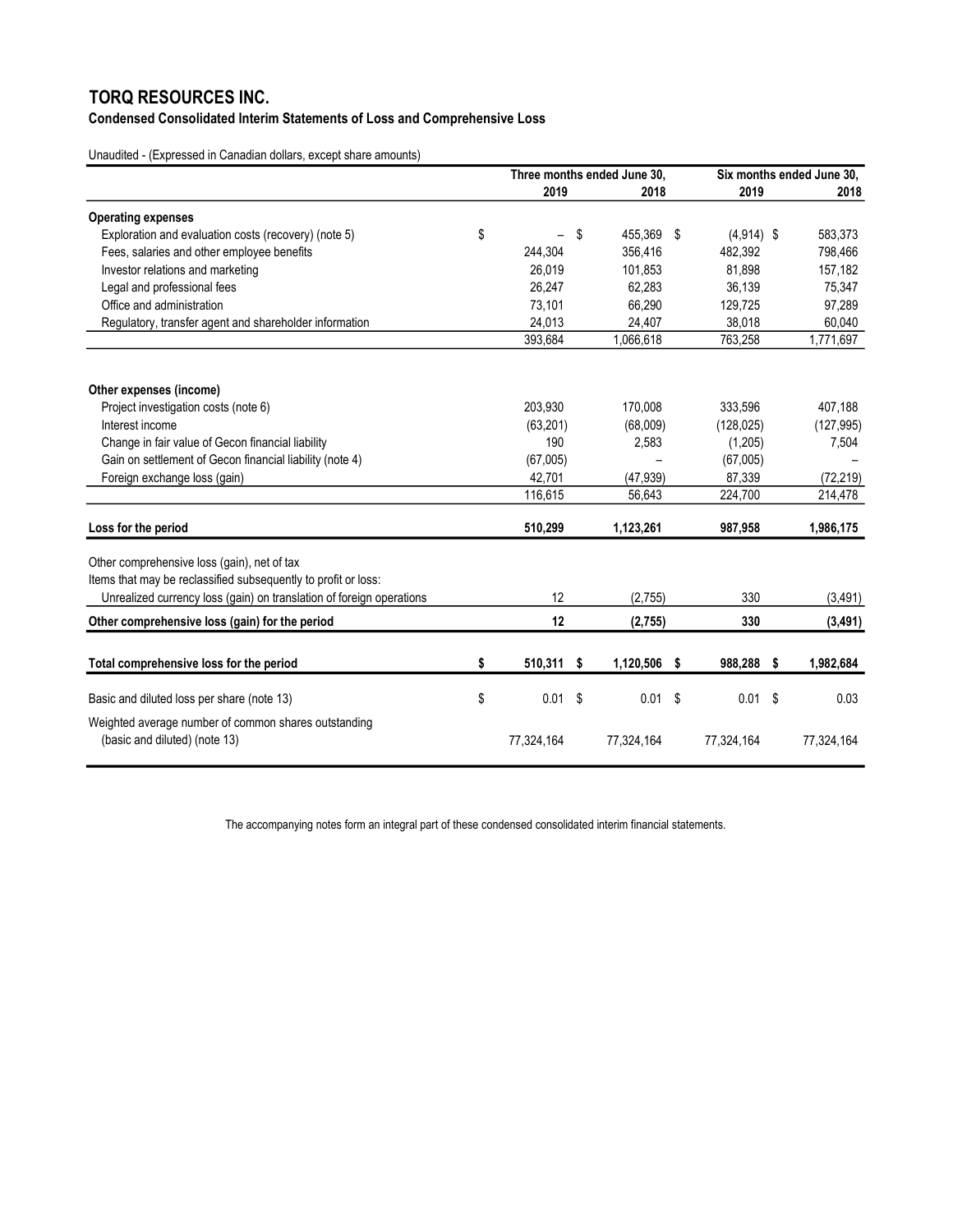Condensed Consolidated Interim Statements of Loss and Comprehensive Loss

Unaudited - (Expressed in Canadian dollars, except share amounts)

|                                                                                                               | Three months ended June 30. |    | Six months ended June 30. |  |              |  |            |
|---------------------------------------------------------------------------------------------------------------|-----------------------------|----|---------------------------|--|--------------|--|------------|
|                                                                                                               | 2019                        |    | 2018                      |  | 2019         |  | 2018       |
| <b>Operating expenses</b>                                                                                     |                             |    |                           |  |              |  |            |
| Exploration and evaluation costs (recovery) (note 5)                                                          | \$                          | \$ | 455,369 \$                |  | $(4,914)$ \$ |  | 583,373    |
| Fees, salaries and other employee benefits                                                                    | 244,304                     |    | 356,416                   |  | 482,392      |  | 798,466    |
| Investor relations and marketing                                                                              | 26.019                      |    | 101,853                   |  | 81,898       |  | 157,182    |
| Legal and professional fees                                                                                   | 26,247                      |    | 62,283                    |  | 36,139       |  | 75,347     |
| Office and administration                                                                                     | 73,101                      |    | 66,290                    |  | 129,725      |  | 97,289     |
| Regulatory, transfer agent and shareholder information                                                        | 24.013                      |    | 24,407                    |  | 38,018       |  | 60.040     |
|                                                                                                               | 393,684                     |    | 1,066,618                 |  | 763,258      |  | 1,771,697  |
| Other expenses (income)                                                                                       |                             |    |                           |  |              |  |            |
| Project investigation costs (note 6)                                                                          | 203,930                     |    | 170,008                   |  | 333,596      |  | 407,188    |
| Interest income                                                                                               | (63, 201)                   |    | (68,009)                  |  | (128, 025)   |  | (127, 995) |
| Change in fair value of Gecon financial liability                                                             | 190                         |    | 2,583                     |  | (1,205)      |  | 7,504      |
| Gain on settlement of Gecon financial liability (note 4)                                                      | (67,005)                    |    |                           |  | (67,005)     |  |            |
| Foreign exchange loss (gain)                                                                                  | 42,701                      |    | (47, 939)                 |  | 87,339       |  | (72, 219)  |
|                                                                                                               | 116,615                     |    | 56.643                    |  | 224,700      |  | 214,478    |
| Loss for the period                                                                                           | 510,299                     |    | 1,123,261                 |  | 987,958      |  | 1,986,175  |
| Other comprehensive loss (gain), net of tax<br>Items that may be reclassified subsequently to profit or loss: |                             |    |                           |  |              |  |            |
| Unrealized currency loss (gain) on translation of foreign operations                                          | 12                          |    | (2,755)                   |  | 330          |  | (3, 491)   |
| Other comprehensive loss (gain) for the period                                                                | 12                          |    | (2,755)                   |  | 330          |  | (3, 491)   |
| Total comprehensive loss for the period                                                                       | \$<br>510,311 \$            |    | 1,120,506 \$              |  | 988,288 \$   |  | 1,982,684  |
|                                                                                                               |                             |    |                           |  |              |  |            |
| Basic and diluted loss per share (note 13)                                                                    | \$<br>0.01                  | \$ | $0.01$ \$                 |  | $0.01$ \$    |  | 0.03       |
| Weighted average number of common shares outstanding<br>(basic and diluted) (note 13)                         | 77,324,164                  |    | 77,324,164                |  | 77,324,164   |  | 77,324,164 |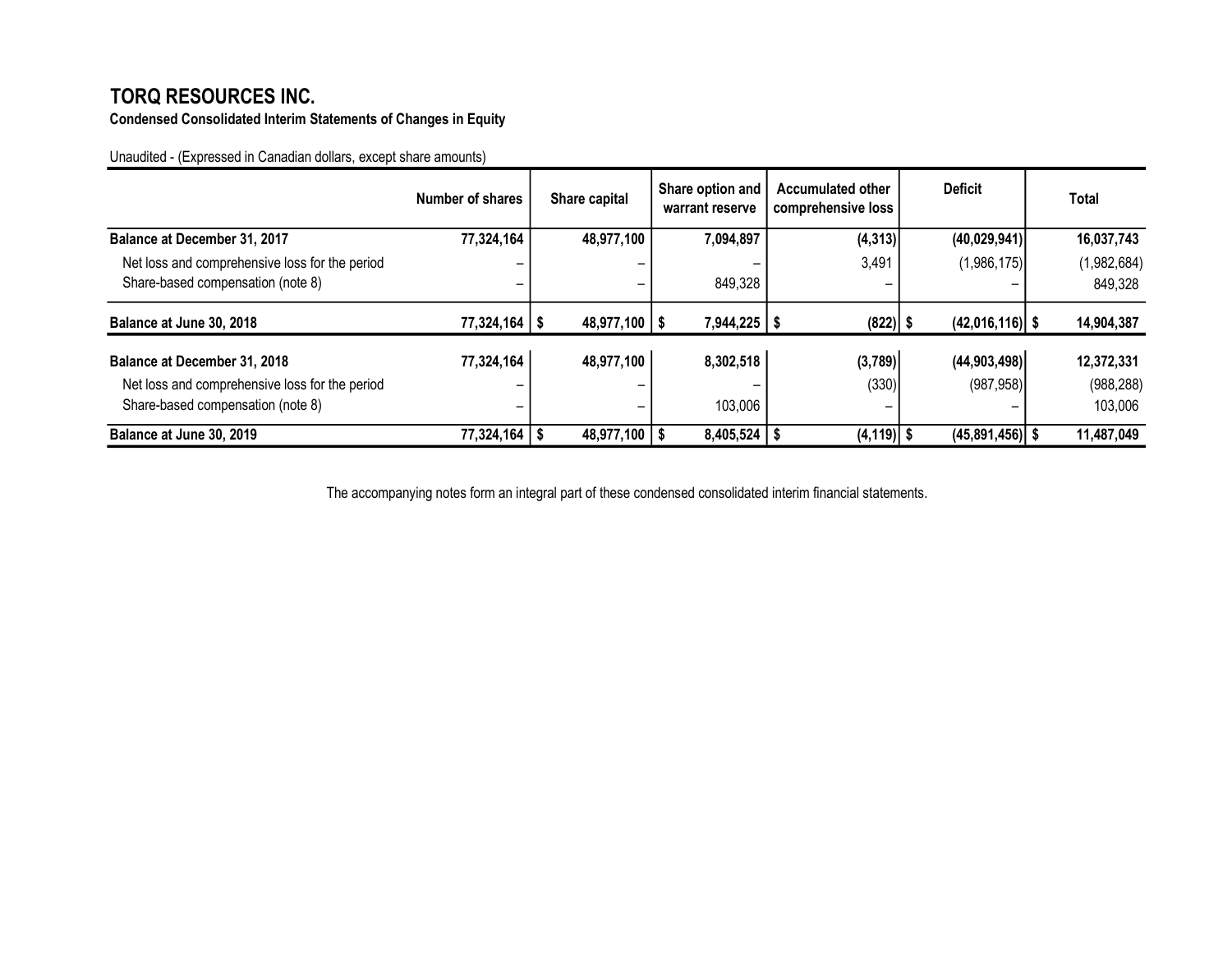Condensed Consolidated Interim Statements of Changes in Equity

Unaudited - (Expressed in Canadian dollars, except share amounts)

|                                                | Number of shares | Share capital     | Share option and<br>warrant reserve | <b>Accumulated other</b><br>comprehensive loss | <b>Deficit</b>    | Total       |
|------------------------------------------------|------------------|-------------------|-------------------------------------|------------------------------------------------|-------------------|-------------|
| Balance at December 31, 2017                   | 77,324,164       | 48,977,100        | 7,094,897                           | (4, 313)                                       | (40,029,941)      | 16,037,743  |
| Net loss and comprehensive loss for the period |                  |                   |                                     | 3,491                                          | (1,986,175)       | (1,982,684) |
| Share-based compensation (note 8)              |                  | -                 | 849,328                             |                                                |                   | 849,328     |
| Balance at June 30, 2018                       | 77,324,164       | $48,977,100$   \$ | 7,944,225                           | $(822)$ \$                                     | $(42,016,116)$ \$ | 14,904,387  |
| Balance at December 31, 2018                   | 77,324,164       | 48,977,100        | 8,302,518                           | (3,789)                                        | (44,903,498)      | 12,372,331  |
| Net loss and comprehensive loss for the period |                  | -                 |                                     | (330)                                          | (987, 958)        | (988, 288)  |
| Share-based compensation (note 8)              |                  | -                 | 103,006                             | -                                              |                   | 103,006     |
| Balance at June 30, 2019                       | 77,324,164       | 48,977,100        | 8,405,524                           | $(4, 119)$ \$                                  | $(45,891,456)$ \$ | 11,487,049  |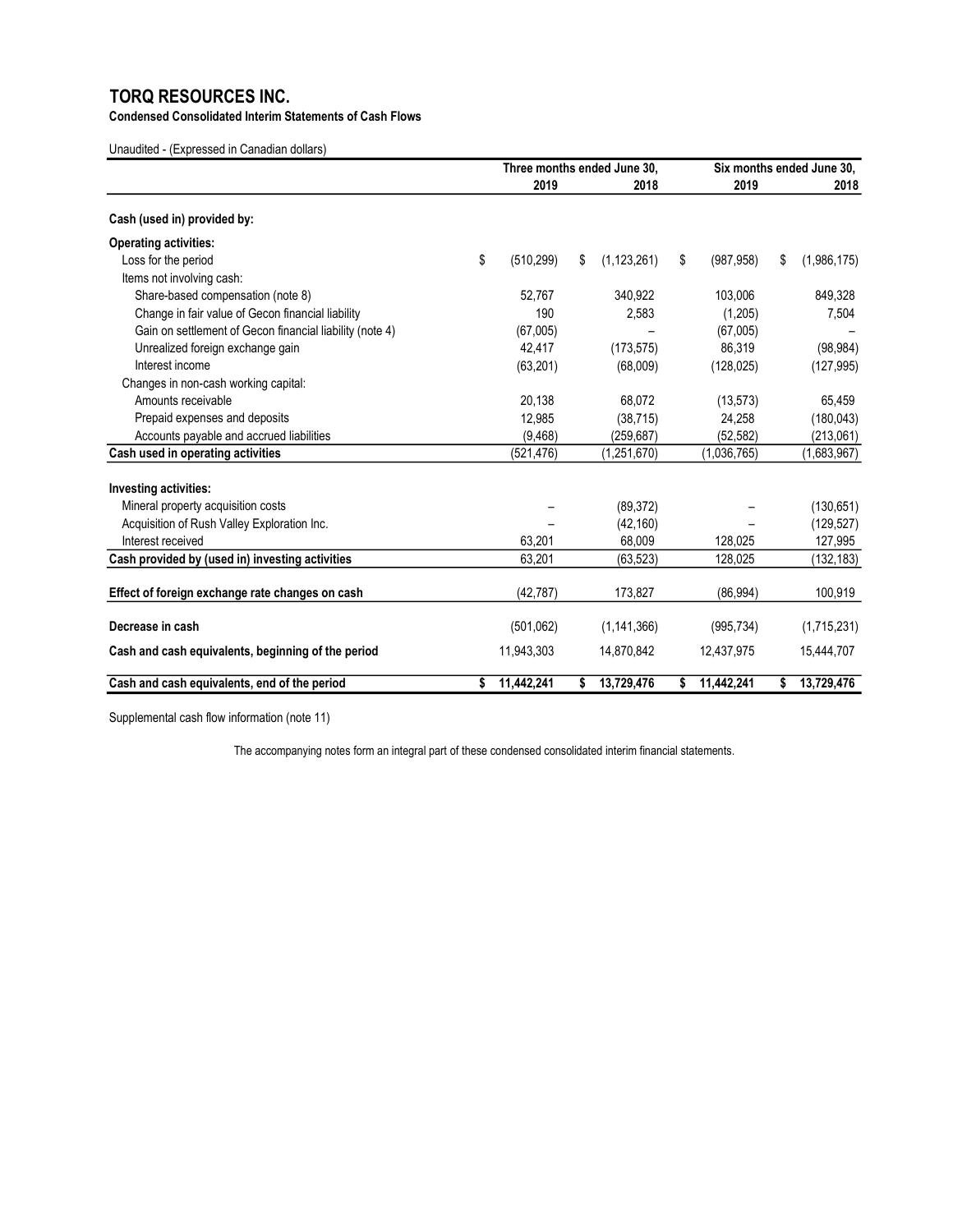Condensed Consolidated Interim Statements of Cash Flows

Unaudited - (Expressed in Canadian dollars)

|                                                          | Three months ended June 30. |    |               | Six months ended June 30. |    |             |
|----------------------------------------------------------|-----------------------------|----|---------------|---------------------------|----|-------------|
|                                                          | 2019                        |    | 2018          | 2019                      |    | 2018        |
| Cash (used in) provided by:                              |                             |    |               |                           |    |             |
| <b>Operating activities:</b>                             |                             |    |               |                           |    |             |
| Loss for the period                                      | \$<br>(510, 299)            | \$ | (1, 123, 261) | \$<br>(987, 958)          | \$ | (1,986,175) |
| Items not involving cash:                                |                             |    |               |                           |    |             |
| Share-based compensation (note 8)                        | 52.767                      |    | 340,922       | 103,006                   |    | 849,328     |
| Change in fair value of Gecon financial liability        | 190                         |    | 2,583         | (1,205)                   |    | 7,504       |
| Gain on settlement of Gecon financial liability (note 4) | (67,005)                    |    |               | (67,005)                  |    |             |
| Unrealized foreign exchange gain                         | 42,417                      |    | (173, 575)    | 86,319                    |    | (98, 984)   |
| Interest income                                          | (63, 201)                   |    | (68,009)      | (128, 025)                |    | (127, 995)  |
| Changes in non-cash working capital:                     |                             |    |               |                           |    |             |
| Amounts receivable                                       | 20,138                      |    | 68,072        | (13, 573)                 |    | 65,459      |
| Prepaid expenses and deposits                            | 12,985                      |    | (38, 715)     | 24,258                    |    | (180, 043)  |
| Accounts payable and accrued liabilities                 | (9,468)                     |    | (259, 687)    | (52, 582)                 |    | (213,061)   |
| Cash used in operating activities                        | (521, 476)                  |    | (1,251,670)   | (1,036,765)               |    | (1,683,967) |
| Investing activities:                                    |                             |    |               |                           |    |             |
| Mineral property acquisition costs                       |                             |    | (89, 372)     |                           |    | (130, 651)  |
| Acquisition of Rush Valley Exploration Inc.              |                             |    | (42, 160)     |                           |    | (129, 527)  |
| Interest received                                        | 63,201                      |    | 68.009        | 128.025                   |    | 127,995     |
| Cash provided by (used in) investing activities          | 63,201                      |    | (63, 523)     | 128,025                   |    | (132, 183)  |
|                                                          |                             |    |               |                           |    |             |
| Effect of foreign exchange rate changes on cash          | (42, 787)                   |    | 173,827       | (86, 994)                 |    | 100,919     |
| Decrease in cash                                         | (501,062)                   |    | (1, 141, 366) | (995, 734)                |    | (1,715,231) |
| Cash and cash equivalents, beginning of the period       | 11,943,303                  |    | 14,870,842    | 12,437,975                |    | 15,444,707  |
| Cash and cash equivalents, end of the period             | 11,442,241                  | \$ | 13,729,476    | \$<br>11,442,241          | \$ | 13,729,476  |

Supplemental cash flow information (note 11)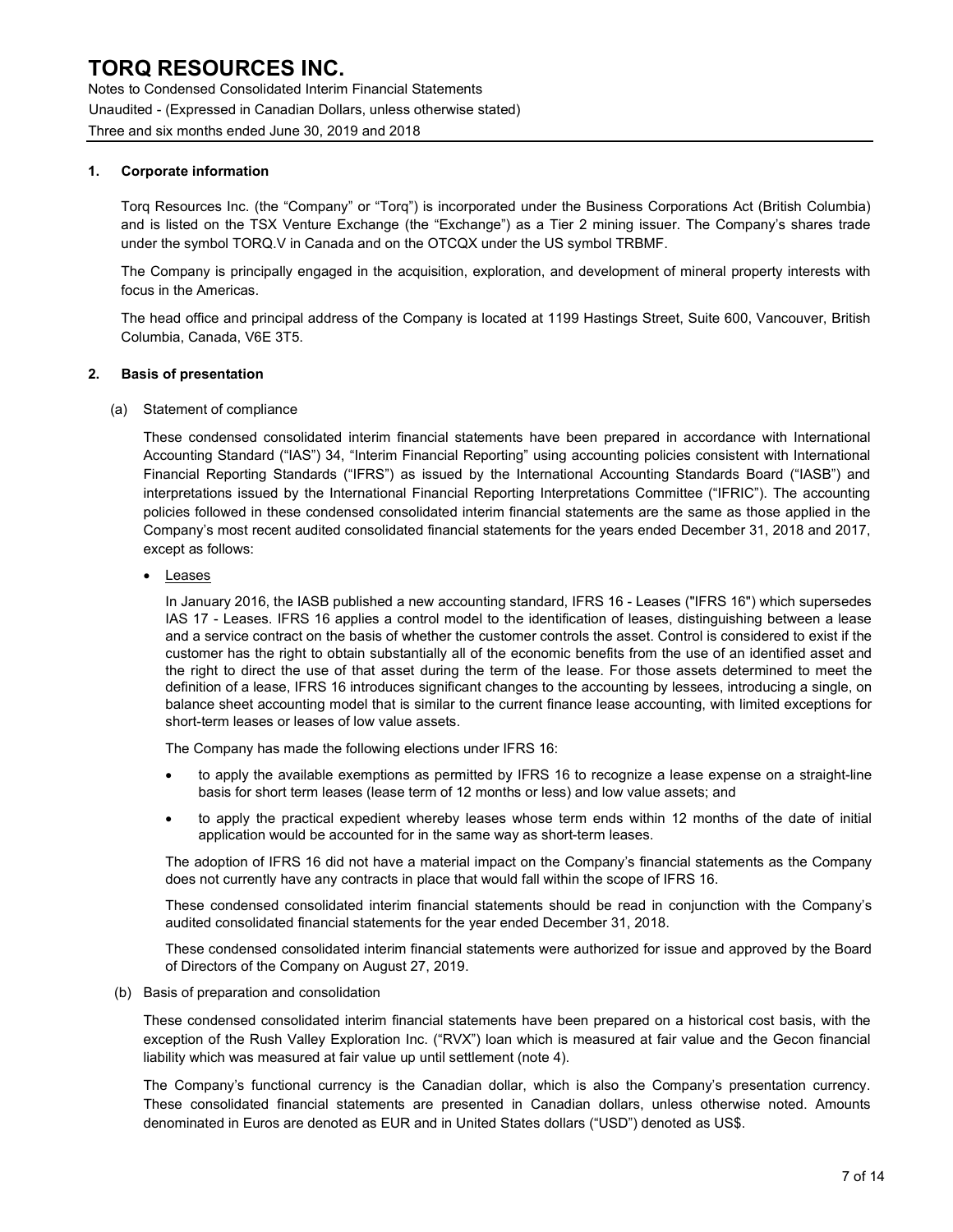Notes to Condensed Consolidated Interim Financial Statements Unaudited - (Expressed in Canadian Dollars, unless otherwise stated) Three and six months ended June 30, 2019 and 2018

### 1. Corporate information

Torq Resources Inc. (the "Company" or "Torq") is incorporated under the Business Corporations Act (British Columbia) and is listed on the TSX Venture Exchange (the "Exchange") as a Tier 2 mining issuer. The Company's shares trade under the symbol TORQ.V in Canada and on the OTCQX under the US symbol TRBMF.

The Company is principally engaged in the acquisition, exploration, and development of mineral property interests with focus in the Americas.

The head office and principal address of the Company is located at 1199 Hastings Street, Suite 600, Vancouver, British Columbia, Canada, V6E 3T5.

#### 2. Basis of presentation

#### (a) Statement of compliance

These condensed consolidated interim financial statements have been prepared in accordance with International Accounting Standard ("IAS") 34, "Interim Financial Reporting" using accounting policies consistent with International Financial Reporting Standards ("IFRS") as issued by the International Accounting Standards Board ("IASB") and interpretations issued by the International Financial Reporting Interpretations Committee ("IFRIC"). The accounting policies followed in these condensed consolidated interim financial statements are the same as those applied in the Company's most recent audited consolidated financial statements for the years ended December 31, 2018 and 2017, except as follows:

Leases

In January 2016, the IASB published a new accounting standard, IFRS 16 - Leases ("IFRS 16") which supersedes IAS 17 - Leases. IFRS 16 applies a control model to the identification of leases, distinguishing between a lease and a service contract on the basis of whether the customer controls the asset. Control is considered to exist if the customer has the right to obtain substantially all of the economic benefits from the use of an identified asset and the right to direct the use of that asset during the term of the lease. For those assets determined to meet the definition of a lease, IFRS 16 introduces significant changes to the accounting by lessees, introducing a single, on balance sheet accounting model that is similar to the current finance lease accounting, with limited exceptions for short-term leases or leases of low value assets.

The Company has made the following elections under IFRS 16:

- to apply the available exemptions as permitted by IFRS 16 to recognize a lease expense on a straight-line basis for short term leases (lease term of 12 months or less) and low value assets; and
- to apply the practical expedient whereby leases whose term ends within 12 months of the date of initial application would be accounted for in the same way as short-term leases.

The adoption of IFRS 16 did not have a material impact on the Company's financial statements as the Company does not currently have any contracts in place that would fall within the scope of IFRS 16.

These condensed consolidated interim financial statements should be read in conjunction with the Company's audited consolidated financial statements for the year ended December 31, 2018.

These condensed consolidated interim financial statements were authorized for issue and approved by the Board of Directors of the Company on August 27, 2019.

(b) Basis of preparation and consolidation

These condensed consolidated interim financial statements have been prepared on a historical cost basis, with the exception of the Rush Valley Exploration Inc. ("RVX") loan which is measured at fair value and the Gecon financial liability which was measured at fair value up until settlement (note 4).

The Company's functional currency is the Canadian dollar, which is also the Company's presentation currency. These consolidated financial statements are presented in Canadian dollars, unless otherwise noted. Amounts denominated in Euros are denoted as EUR and in United States dollars ("USD") denoted as US\$.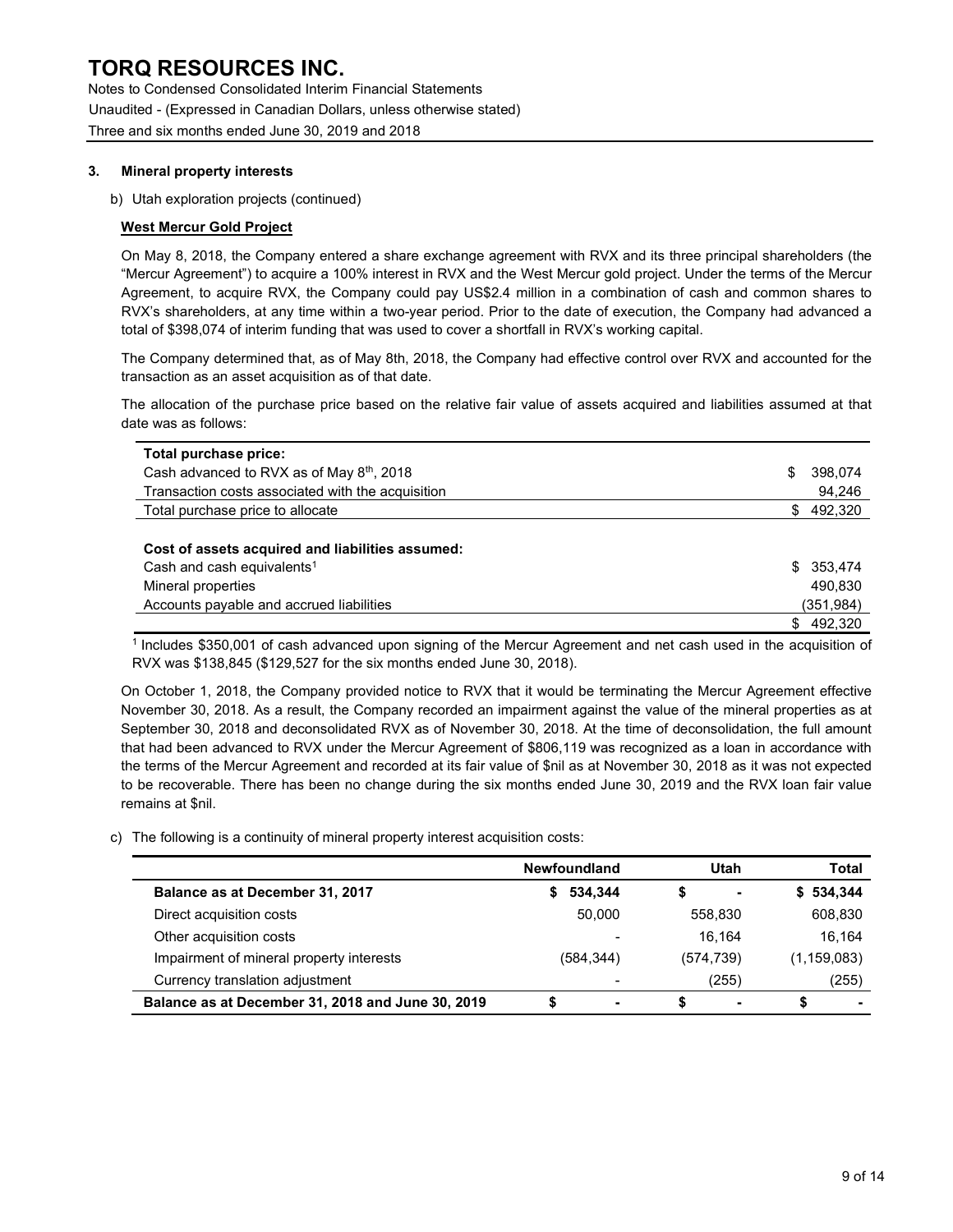Notes to Condensed Consolidated Interim Financial Statements Unaudited - (Expressed in Canadian Dollars, unless otherwise stated) Three and six months ended June 30, 2019 and 2018

### 3. Mineral property interests

b) Utah exploration projects (continued)

### West Mercur Gold Project

On May 8, 2018, the Company entered a share exchange agreement with RVX and its three principal shareholders (the "Mercur Agreement") to acquire a 100% interest in RVX and the West Mercur gold project. Under the terms of the Mercur Agreement, to acquire RVX, the Company could pay US\$2.4 million in a combination of cash and common shares to RVX's shareholders, at any time within a two-year period. Prior to the date of execution, the Company had advanced a total of \$398,074 of interim funding that was used to cover a shortfall in RVX's working capital.

The Company determined that, as of May 8th, 2018, the Company had effective control over RVX and accounted for the transaction as an asset acquisition as of that date.

The allocation of the purchase price based on the relative fair value of assets acquired and liabilities assumed at that date was as follows:

| Total purchase price:                                 |     |           |
|-------------------------------------------------------|-----|-----------|
| Cash advanced to RVX as of May 8 <sup>th</sup> , 2018 | S   | 398.074   |
| Transaction costs associated with the acquisition     |     | 94,246    |
| Total purchase price to allocate                      | \$. | 492,320   |
|                                                       |     |           |
| Cost of assets acquired and liabilities assumed:      |     |           |
| Cash and cash equivalents <sup>1</sup>                | SS. | 353.474   |
| Mineral properties                                    |     | 490.830   |
| Accounts payable and accrued liabilities              |     | (351,984) |
|                                                       |     | 492,320   |

<sup>1</sup>Includes \$350,001 of cash advanced upon signing of the Mercur Agreement and net cash used in the acquisition of RVX was \$138,845 (\$129,527 for the six months ended June 30, 2018).

On October 1, 2018, the Company provided notice to RVX that it would be terminating the Mercur Agreement effective November 30, 2018. As a result, the Company recorded an impairment against the value of the mineral properties as at September 30, 2018 and deconsolidated RVX as of November 30, 2018. At the time of deconsolidation, the full amount that had been advanced to RVX under the Mercur Agreement of \$806,119 was recognized as a loan in accordance with the terms of the Mercur Agreement and recorded at its fair value of \$nil as at November 30, 2018 as it was not expected to be recoverable. There has been no change during the six months ended June 30, 2019 and the RVX loan fair value remains at \$nil.

c) The following is a continuity of mineral property interest acquisition costs:

|                                                   | <b>Newfoundland</b> | Utah       | Total         |
|---------------------------------------------------|---------------------|------------|---------------|
| Balance as at December 31, 2017                   | 534,344             | -          | \$534,344     |
| Direct acquisition costs                          | 50.000              | 558.830    | 608,830       |
| Other acquisition costs                           |                     | 16.164     | 16.164        |
| Impairment of mineral property interests          | (584, 344)          | (574, 739) | (1, 159, 083) |
| Currency translation adjustment                   |                     | (255)      | (255)         |
| Balance as at December 31, 2018 and June 30, 2019 | -                   | ۰          | S<br>۰        |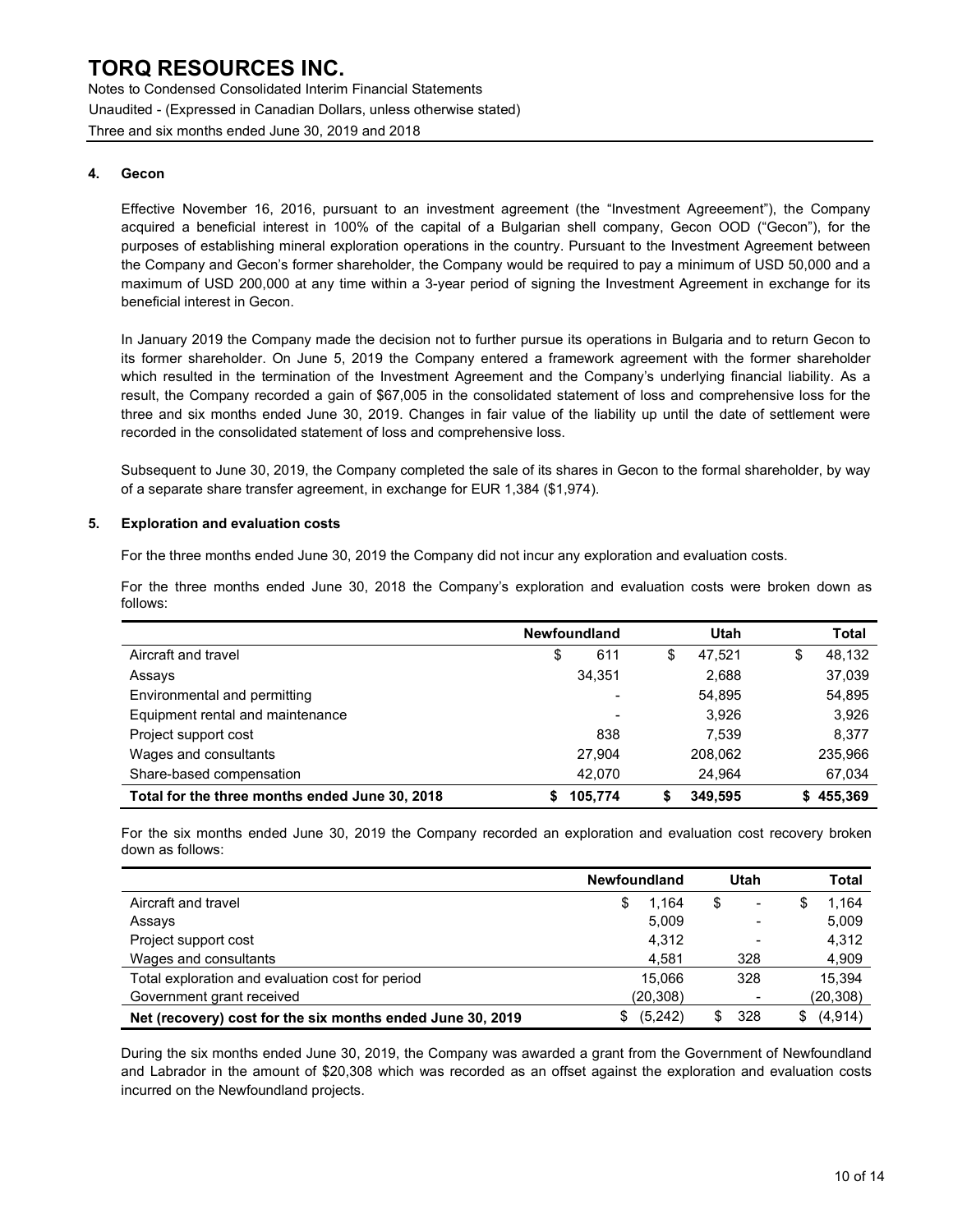Notes to Condensed Consolidated Interim Financial Statements Unaudited - (Expressed in Canadian Dollars, unless otherwise stated) Three and six months ended June 30, 2019 and 2018

#### 4. Gecon

Effective November 16, 2016, pursuant to an investment agreement (the "Investment Agreeement"), the Company acquired a beneficial interest in 100% of the capital of a Bulgarian shell company, Gecon OOD ("Gecon"), for the purposes of establishing mineral exploration operations in the country. Pursuant to the Investment Agreement between the Company and Gecon's former shareholder, the Company would be required to pay a minimum of USD 50,000 and a maximum of USD 200,000 at any time within a 3-year period of signing the Investment Agreement in exchange for its beneficial interest in Gecon.

In January 2019 the Company made the decision not to further pursue its operations in Bulgaria and to return Gecon to its former shareholder. On June 5, 2019 the Company entered a framework agreement with the former shareholder which resulted in the termination of the Investment Agreement and the Company's underlying financial liability. As a result, the Company recorded a gain of \$67,005 in the consolidated statement of loss and comprehensive loss for the three and six months ended June 30, 2019. Changes in fair value of the liability up until the date of settlement were recorded in the consolidated statement of loss and comprehensive loss.

Subsequent to June 30, 2019, the Company completed the sale of its shares in Gecon to the formal shareholder, by way of a separate share transfer agreement, in exchange for EUR 1,384 (\$1,974).

#### 5. Exploration and evaluation costs

For the three months ended June 30, 2019 the Company did not incur any exploration and evaluation costs.

For the three months ended June 30, 2018 the Company's exploration and evaluation costs were broken down as follows:

|                                                | <b>Newfoundland</b> |         | Utah |         |   | Total     |
|------------------------------------------------|---------------------|---------|------|---------|---|-----------|
| Aircraft and travel                            | \$                  | 611     | \$   | 47.521  | Ф | 48,132    |
| Assays                                         |                     | 34.351  |      | 2,688   |   | 37,039    |
| Environmental and permitting                   |                     |         |      | 54.895  |   | 54,895    |
| Equipment rental and maintenance               |                     |         |      | 3.926   |   | 3,926     |
| Project support cost                           |                     | 838     |      | 7.539   |   | 8,377     |
| Wages and consultants                          |                     | 27.904  |      | 208,062 |   | 235,966   |
| Share-based compensation                       |                     | 42.070  |      | 24.964  |   | 67,034    |
| Total for the three months ended June 30, 2018 |                     | 105,774 | S    | 349.595 |   | \$455,369 |

For the six months ended June 30, 2019 the Company recorded an exploration and evaluation cost recovery broken down as follows:

|                                                            | <b>Newfoundland</b> | Utah                          | Total          |
|------------------------------------------------------------|---------------------|-------------------------------|----------------|
| Aircraft and travel                                        | 1.164<br>\$         | S<br>$\overline{\phantom{0}}$ | 1.164<br>æ.    |
| Assays                                                     | 5,009               | $\blacksquare$                | 5,009          |
| Project support cost                                       | 4,312               | $\overline{\phantom{0}}$      | 4,312          |
| Wages and consultants                                      | 4.581               | 328                           | 4,909          |
| Total exploration and evaluation cost for period           | 15.066              | 328                           | 15.394         |
| Government grant received                                  | (20, 308)           | $\,$                          | (20, 308)      |
| Net (recovery) cost for the six months ended June 30, 2019 | (5,242)<br>\$       | 328                           | (4, 914)<br>\$ |

During the six months ended June 30, 2019, the Company was awarded a grant from the Government of Newfoundland and Labrador in the amount of \$20,308 which was recorded as an offset against the exploration and evaluation costs incurred on the Newfoundland projects.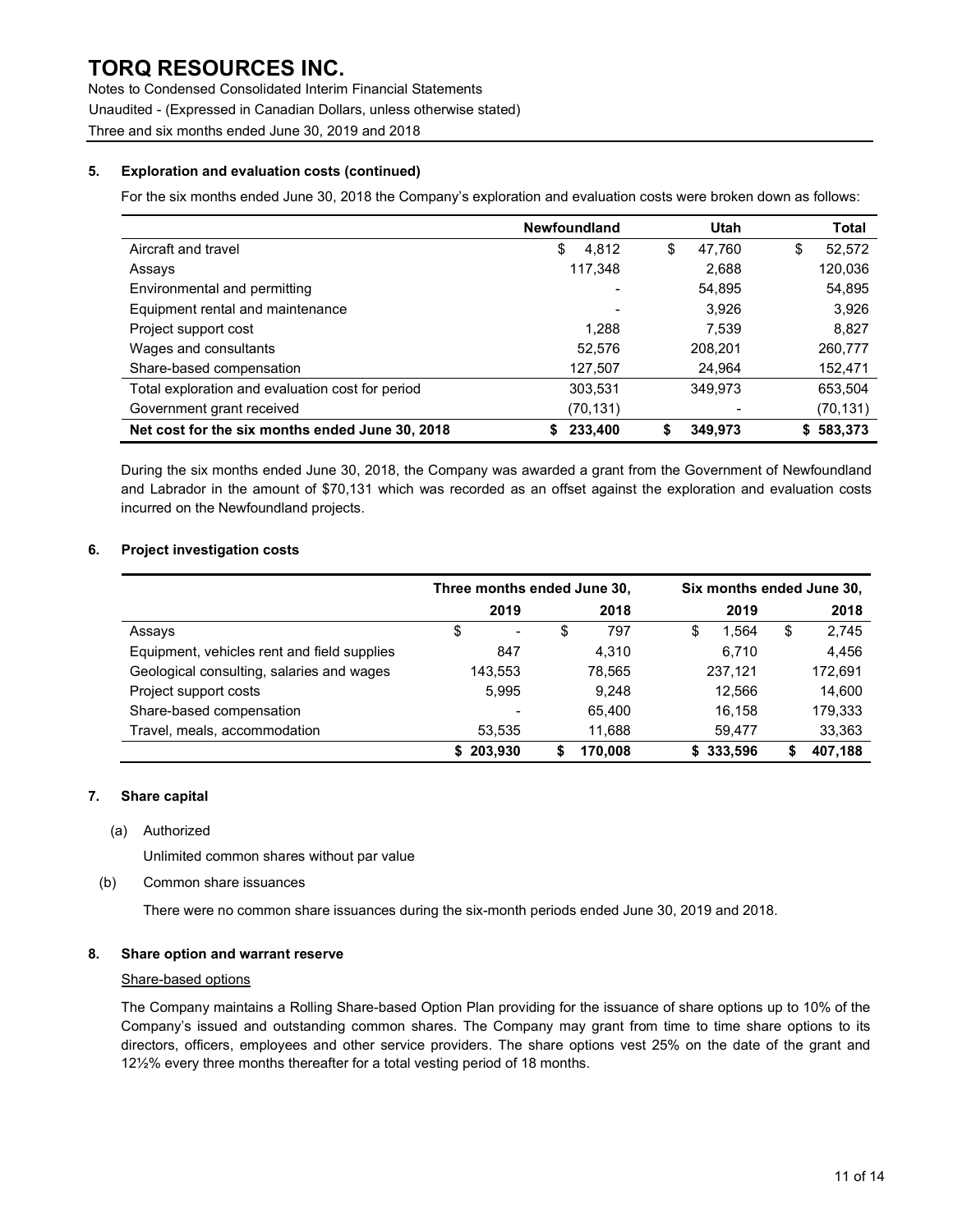Notes to Condensed Consolidated Interim Financial Statements Unaudited - (Expressed in Canadian Dollars, unless otherwise stated) Three and six months ended June 30, 2019 and 2018

### 5. Exploration and evaluation costs (continued)

For the six months ended June 30, 2018 the Company's exploration and evaluation costs were broken down as follows:

|                                                  | <b>Newfoundland</b> | Utah          | Total       |
|--------------------------------------------------|---------------------|---------------|-------------|
| Aircraft and travel                              | 4.812<br>\$         | 47.760<br>\$  | 52,572<br>S |
| Assays                                           | 117,348             | 2,688         | 120,036     |
| Environmental and permitting                     |                     | 54,895        | 54,895      |
| Equipment rental and maintenance                 |                     | 3.926         | 3,926       |
| Project support cost                             | 1.288               | 7.539         | 8,827       |
| Wages and consultants                            | 52,576              | 208,201       | 260,777     |
| Share-based compensation                         | 127,507             | 24.964        | 152,471     |
| Total exploration and evaluation cost for period | 303,531             | 349.973       | 653,504     |
| Government grant received                        | (70, 131)           |               | (70, 131)   |
| Net cost for the six months ended June 30, 2018  | 233,400             | \$<br>349,973 | \$583,373   |

During the six months ended June 30, 2018, the Company was awarded a grant from the Government of Newfoundland and Labrador in the amount of \$70,131 which was recorded as an offset against the exploration and evaluation costs incurred on the Newfoundland projects.

### 6. Project investigation costs

|                                             | Three months ended June 30, |                          |        |         | Six months ended June 30, |         |    |         |
|---------------------------------------------|-----------------------------|--------------------------|--------|---------|---------------------------|---------|----|---------|
|                                             |                             | 2019                     |        | 2018    |                           | 2019    |    | 2018    |
| Assays                                      | \$                          | $\overline{\phantom{a}}$ | \$     | 797     | S                         | .564    | \$ | 2,745   |
| Equipment, vehicles rent and field supplies |                             | 847                      |        | 4.310   |                           | 6,710   |    | 4,456   |
| Geological consulting, salaries and wages   | 143,553                     |                          | 78.565 |         |                           | 237,121 |    | 172,691 |
| Project support costs                       |                             | 5,995                    | 9.248  |         |                           | 12,566  |    | 14,600  |
| Share-based compensation                    |                             |                          | 65.400 |         |                           | 16.158  |    | 179,333 |
| Travel, meals, accommodation                |                             | 53,535                   |        | 11,688  |                           | 59.477  |    | 33,363  |
|                                             | 203,930                     |                          |        | 170,008 |                           | 333,596 |    | 407,188 |

### 7. Share capital

(a) Authorized

Unlimited common shares without par value

(b) Common share issuances

There were no common share issuances during the six-month periods ended June 30, 2019 and 2018.

### 8. Share option and warrant reserve

#### Share-based options

The Company maintains a Rolling Share-based Option Plan providing for the issuance of share options up to 10% of the Company's issued and outstanding common shares. The Company may grant from time to time share options to its directors, officers, employees and other service providers. The share options vest 25% on the date of the grant and 12½% every three months thereafter for a total vesting period of 18 months.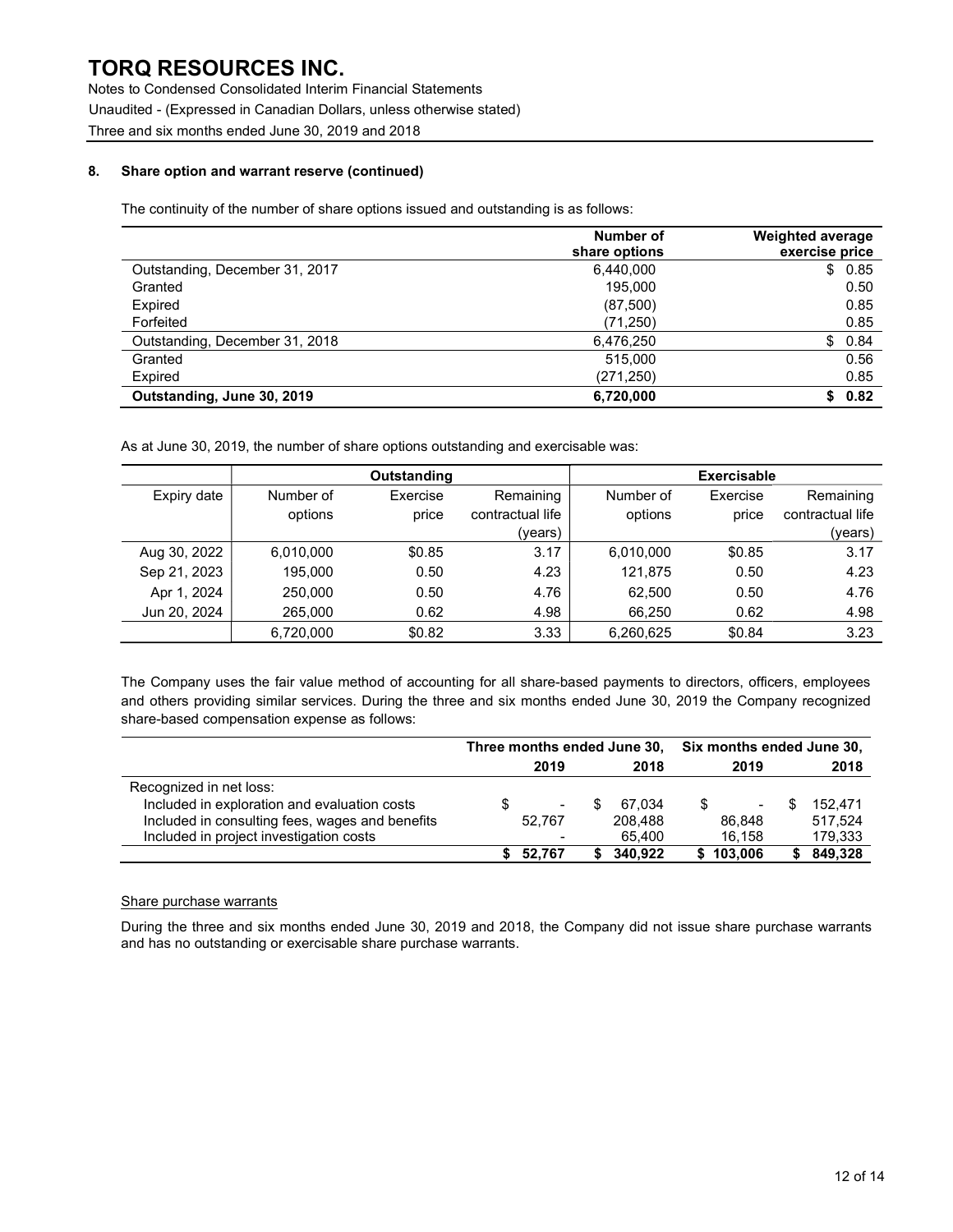Notes to Condensed Consolidated Interim Financial Statements Unaudited - (Expressed in Canadian Dollars, unless otherwise stated) Three and six months ended June 30, 2019 and 2018

### 8. Share option and warrant reserve (continued)

The continuity of the number of share options issued and outstanding is as follows:

|                                | Number of<br>share options | Weighted average<br>exercise price |
|--------------------------------|----------------------------|------------------------------------|
| Outstanding, December 31, 2017 | 6.440.000                  | \$0.85                             |
| Granted                        | 195.000                    | 0.50                               |
| Expired                        | (87,500)                   | 0.85                               |
| Forfeited                      | (71, 250)                  | 0.85                               |
| Outstanding, December 31, 2018 | 6,476,250                  | \$0.84                             |
| Granted                        | 515,000                    | 0.56                               |
| Expired                        | (271, 250)                 | 0.85                               |
| Outstanding, June 30, 2019     | 6.720.000                  | 0.82<br>S.                         |

As at June 30, 2019, the number of share options outstanding and exercisable was:

|              |           | <b>Outstanding</b> |                  |           | <b>Exercisable</b> |                  |
|--------------|-----------|--------------------|------------------|-----------|--------------------|------------------|
| Expiry date  | Number of | Exercise           | Remaining        | Number of | Exercise           | Remaining        |
|              | options   | price              | contractual life | options   | price              | contractual life |
|              |           |                    | (years)          |           |                    | (years)          |
| Aug 30, 2022 | 6,010,000 | \$0.85             | 3.17             | 6,010,000 | \$0.85             | 3.17             |
| Sep 21, 2023 | 195.000   | 0.50               | 4.23             | 121.875   | 0.50               | 4.23             |
| Apr 1, 2024  | 250,000   | 0.50               | 4.76             | 62.500    | 0.50               | 4.76             |
| Jun 20, 2024 | 265,000   | 0.62               | 4.98             | 66,250    | 0.62               | 4.98             |
|              | 6.720.000 | \$0.82             | 3.33             | 6,260,625 | \$0.84             | 3.23             |

The Company uses the fair value method of accounting for all share-based payments to directors, officers, employees and others providing similar services. During the three and six months ended June 30, 2019 the Company recognized share-based compensation expense as follows:

|                                                 | Three months ended June 30, |        |  |         | Six months ended June 30, |                          |   |         |
|-------------------------------------------------|-----------------------------|--------|--|---------|---------------------------|--------------------------|---|---------|
|                                                 |                             | 2019   |  | 2018    |                           | 2019                     |   | 2018    |
| Recognized in net loss:                         |                             |        |  |         |                           |                          |   |         |
| Included in exploration and evaluation costs    |                             |        |  | 67.034  |                           | $\overline{\phantom{a}}$ | S | 152.471 |
| Included in consulting fees, wages and benefits |                             | 52.767 |  | 208,488 |                           | 86.848                   |   | 517.524 |
| Included in project investigation costs         |                             |        |  | 65.400  |                           | 16.158                   |   | 179,333 |
|                                                 |                             | 52.767 |  | 340,922 |                           | 103,006                  |   | 849,328 |

### Share purchase warrants

During the three and six months ended June 30, 2019 and 2018, the Company did not issue share purchase warrants and has no outstanding or exercisable share purchase warrants.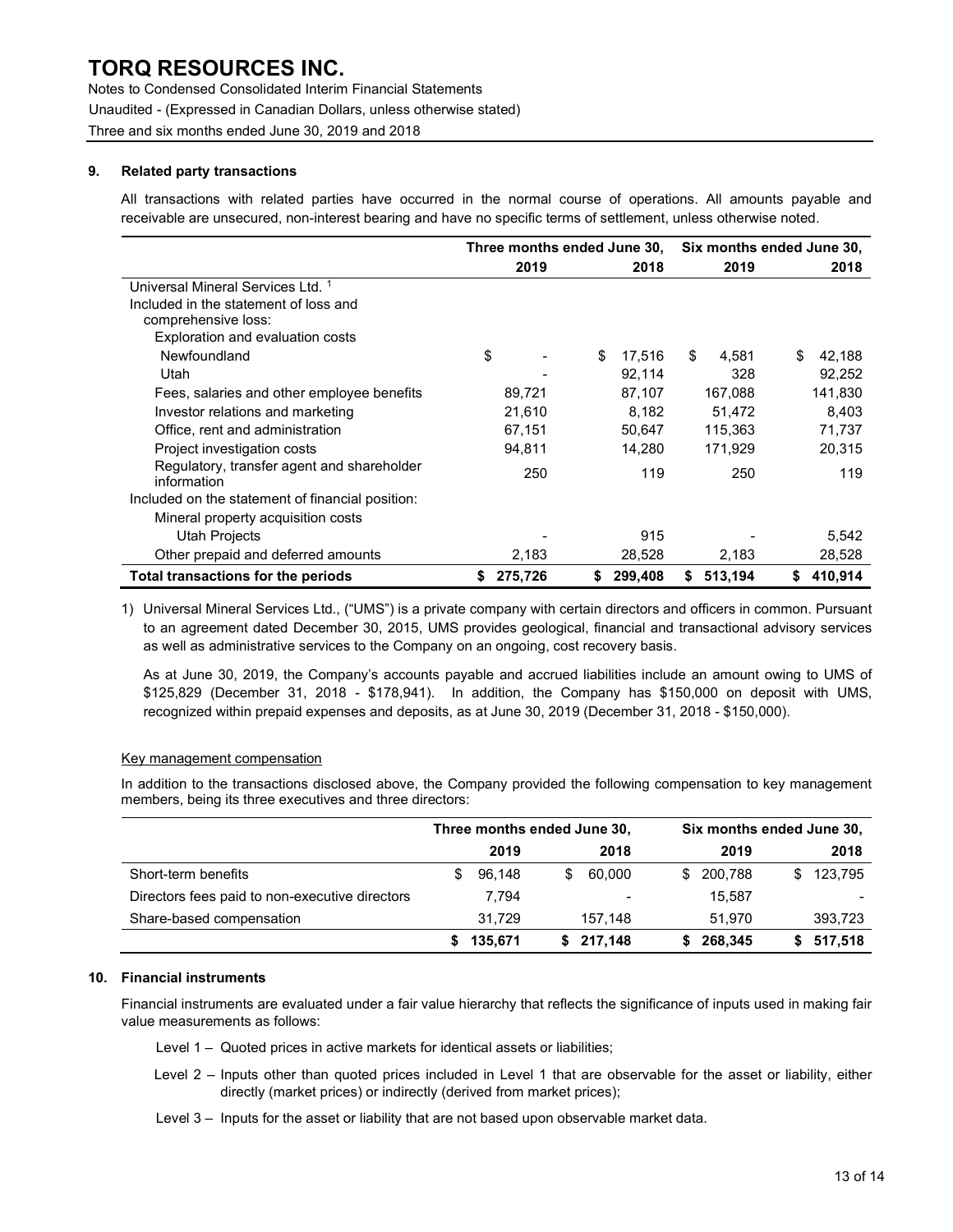Notes to Condensed Consolidated Interim Financial Statements Unaudited - (Expressed in Canadian Dollars, unless otherwise stated) Three and six months ended June 30, 2019 and 2018

#### 9. Related party transactions

All transactions with related parties have occurred in the normal course of operations. All amounts payable and receivable are unsecured, non-interest bearing and have no specific terms of settlement, unless otherwise noted.

|                                                           | Three months ended June 30, |         |    | Six months ended June 30, |    |         |    |         |
|-----------------------------------------------------------|-----------------------------|---------|----|---------------------------|----|---------|----|---------|
|                                                           |                             | 2019    |    | 2018                      |    | 2019    |    | 2018    |
| Universal Mineral Services Ltd. 1                         |                             |         |    |                           |    |         |    |         |
| Included in the statement of loss and                     |                             |         |    |                           |    |         |    |         |
| comprehensive loss:                                       |                             |         |    |                           |    |         |    |         |
| Exploration and evaluation costs                          |                             |         |    |                           |    |         |    |         |
| Newfoundland                                              | \$                          |         | \$ | 17.516                    | \$ | 4,581   | S  | 42,188  |
| Utah                                                      |                             |         |    | 92,114                    |    | 328     |    | 92,252  |
| Fees, salaries and other employee benefits                |                             | 89,721  |    | 87,107                    |    | 167,088 |    | 141,830 |
| Investor relations and marketing                          |                             | 21,610  |    | 8,182                     |    | 51.472  |    | 8,403   |
| Office, rent and administration                           |                             | 67,151  |    | 50,647                    |    | 115,363 |    | 71,737  |
| Project investigation costs                               |                             | 94,811  |    | 14,280                    |    | 171,929 |    | 20,315  |
| Regulatory, transfer agent and shareholder<br>information |                             | 250     |    | 119                       |    | 250     |    | 119     |
| Included on the statement of financial position:          |                             |         |    |                           |    |         |    |         |
| Mineral property acquisition costs                        |                             |         |    |                           |    |         |    |         |
| Utah Projects                                             |                             |         |    | 915                       |    |         |    | 5,542   |
| Other prepaid and deferred amounts                        |                             | 2,183   |    | 28,528                    |    | 2,183   |    | 28,528  |
| Total transactions for the periods                        |                             | 275,726 | S  | 299,408                   | \$ | 513,194 | \$ | 410,914 |

1) Universal Mineral Services Ltd., ("UMS") is a private company with certain directors and officers in common. Pursuant to an agreement dated December 30, 2015, UMS provides geological, financial and transactional advisory services as well as administrative services to the Company on an ongoing, cost recovery basis.

As at June 30, 2019, the Company's accounts payable and accrued liabilities include an amount owing to UMS of \$125,829 (December 31, 2018 - \$178,941). In addition, the Company has \$150,000 on deposit with UMS, recognized within prepaid expenses and deposits, as at June 30, 2019 (December 31, 2018 - \$150,000).

### Key management compensation

In addition to the transactions disclosed above, the Company provided the following compensation to key management members, being its three executives and three directors:

|                                                | Three months ended June 30, |         |   |                          | Six months ended June 30, |         |   |           |
|------------------------------------------------|-----------------------------|---------|---|--------------------------|---------------------------|---------|---|-----------|
|                                                |                             | 2019    |   | 2018                     |                           | 2019    |   | 2018      |
| Short-term benefits                            | S                           | 96,148  | S | 60.000                   | \$.                       | 200,788 | S | 123,795   |
| Directors fees paid to non-executive directors |                             | 7,794   |   | $\overline{\phantom{a}}$ |                           | 15.587  |   |           |
| Share-based compensation                       |                             | 31.729  |   | 157.148                  |                           | 51.970  |   | 393,723   |
|                                                |                             | 135,671 |   | 217,148                  |                           | 268,345 |   | \$517,518 |

#### 10. Financial instruments

Financial instruments are evaluated under a fair value hierarchy that reflects the significance of inputs used in making fair value measurements as follows:

- Level 1 Quoted prices in active markets for identical assets or liabilities;
- Level 2 Inputs other than quoted prices included in Level 1 that are observable for the asset or liability, either directly (market prices) or indirectly (derived from market prices);
- Level 3 Inputs for the asset or liability that are not based upon observable market data.